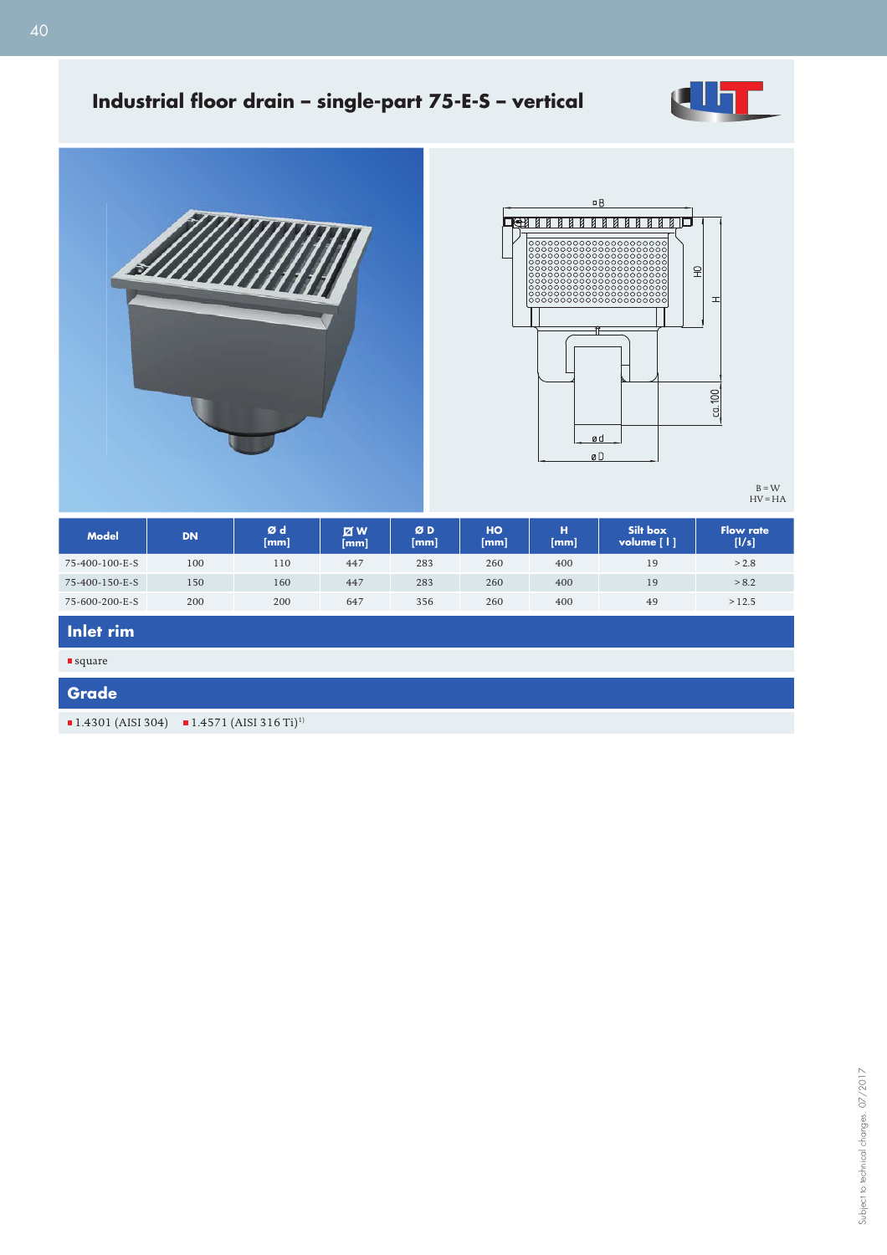

# Industrial floor drain - single-part 75-E-S - vertical





B = W HV = HA

| <b>Model</b>   | <b>DN</b> | Ød<br>[mm] | <b>Z</b><br>[mm] | ØD<br>[mm] | HO<br>[mm] | н<br>[mm] | Silt box<br>volume $\lceil \cdot \rceil$ | <b>Flow rate</b><br>[1/s] |
|----------------|-----------|------------|------------------|------------|------------|-----------|------------------------------------------|---------------------------|
| 75-400-100-E-S | 100       | 110        | 447              | 283        | 260        | 400       | 19                                       | > 2.8                     |
| 75-400-150-E-S | 150       | 160        | 447              | 283        | 260        | 400       | 19                                       | > 8.2                     |
| 75-600-200-E-S | 200       | 200        | 647              | 356        | 260        | 400       | 49                                       | >12.5                     |

# **Inlet rim**

**square** 

#### **Grade**

 $1.4301$  (AISI 304)  $1.4571$  (AISI 316 Ti)<sup>1)</sup>